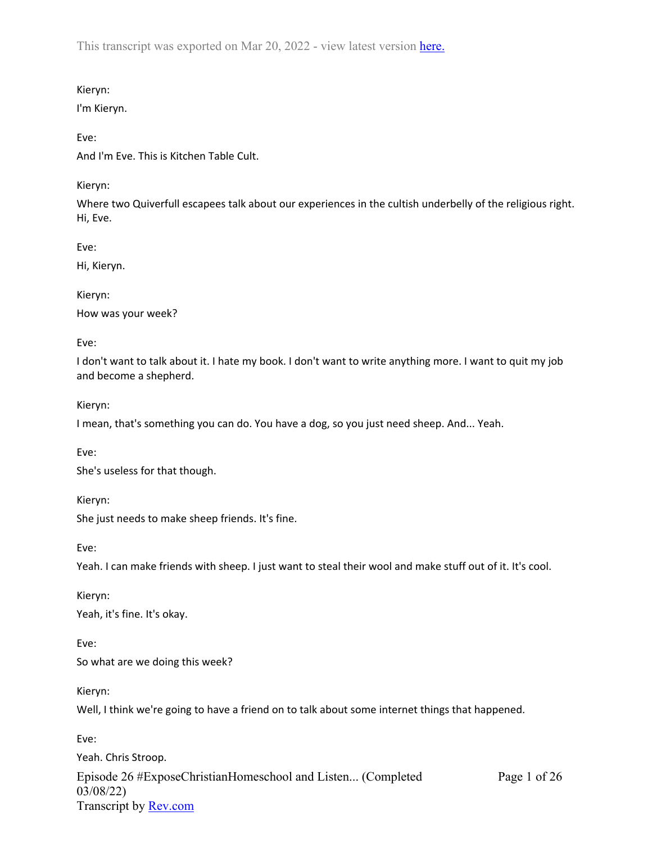This transcript was exported on Mar 20, 2022 - view latest version [here.](https://www.rev.com/transcript-editor/Edit?token=7N2sNEb0tsxpz14mH0gLbPazp5sX9RELRsgYEIvEiaufRSDOnAPhonpt_4sdpWfBPf1R184oA5hOF0ZbaOzzaRLfcgg&loadFrom=DocumentHeaderDeepLink)

## Kieryn:

I'm Kieryn.

# Eve:

And I'm Eve. This is Kitchen Table Cult.

# Kieryn:

Where two Quiverfull escapees talk about our experiences in the cultish underbelly of the religious right. Hi, Eve.

Eve:

Hi, Kieryn.

Kieryn:

How was your week?

Eve:

I don't want to talk about it. I hate my book. I don't want to write anything more. I want to quit my job and become a shepherd.

Kieryn:

I mean, that's something you can do. You have a dog, so you just need sheep. And... Yeah.

Eve:

She's useless for that though.

Kieryn:

She just needs to make sheep friends. It's fine.

Eve:

Yeah. I can make friends with sheep. I just want to steal their wool and make stuff out of it. It's cool.

Kieryn: Yeah, it's fine. It's okay.

Eve: So what are we doing this week?

Kieryn:

Well, I think we're going to have a friend on to talk about some internet things that happened.

Eve:

Episode 26 #ExposeChristianHomeschool and Listen... (Completed 03/08/22) Transcript by [Rev.com](https://www.rev.com/) Page 1 of 26 Yeah. Chris Stroop.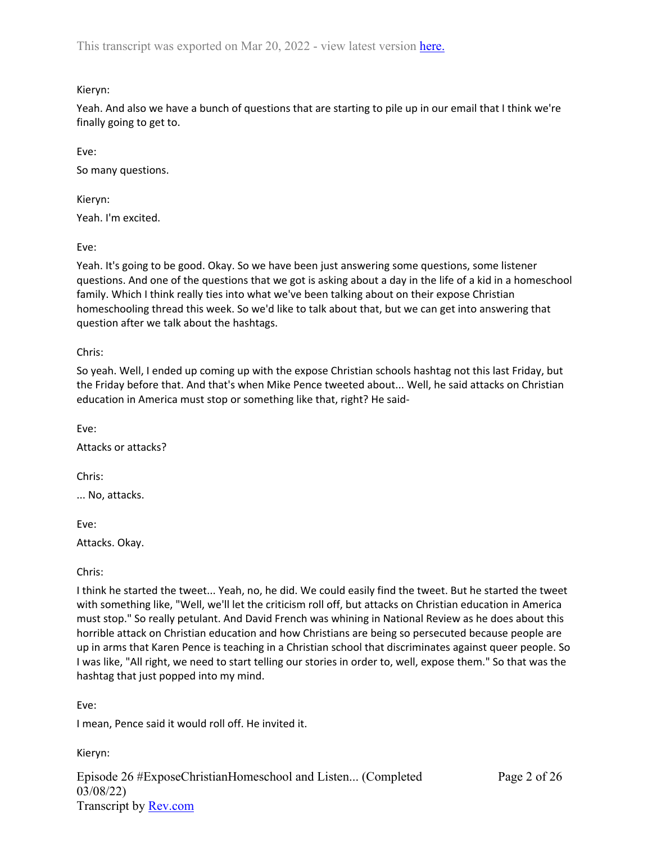Kieryn:

Yeah. And also we have a bunch of questions that are starting to pile up in our email that I think we're finally going to get to.

Eve:

So many questions.

Kieryn:

Yeah. I'm excited.

Eve:

Yeah. It's going to be good. Okay. So we have been just answering some questions, some listener questions. And one of the questions that we got is asking about a day in the life of a kid in a homeschool family. Which I think really ties into what we've been talking about on their expose Christian homeschooling thread this week. So we'd like to talk about that, but we can get into answering that question after we talk about the hashtags.

Chris:

So yeah. Well, I ended up coming up with the expose Christian schools hashtag not this last Friday, but the Friday before that. And that's when Mike Pence tweeted about... Well, he said attacks on Christian education in America must stop or something like that, right? He said-

Eve:

Attacks or attacks?

Chris:

... No, attacks.

Eve:

Attacks. Okay.

Chris:

I think he started the tweet... Yeah, no, he did. We could easily find the tweet. But he started the tweet with something like, "Well, we'll let the criticism roll off, but attacks on Christian education in America must stop." So really petulant. And David French was whining in National Review as he does about this horrible attack on Christian education and how Christians are being so persecuted because people are up in arms that Karen Pence is teaching in a Christian school that discriminates against queer people. So I was like, "All right, we need to start telling our stories in order to, well, expose them." So that was the hashtag that just popped into my mind.

Eve:

I mean, Pence said it would roll off. He invited it.

Kieryn:

Episode 26 #ExposeChristianHomeschool and Listen... (Completed 03/08/22) Transcript by [Rev.com](https://www.rev.com/)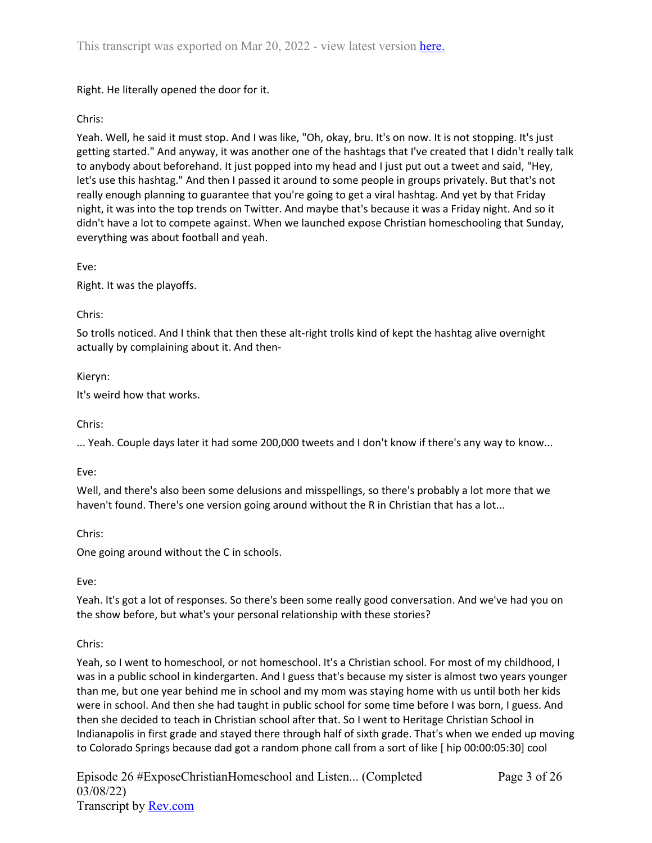Right. He literally opened the door for it.

# Chris:

Yeah. Well, he said it must stop. And I was like, "Oh, okay, bru. It's on now. It is not stopping. It's just getting started." And anyway, it was another one of the hashtags that I've created that I didn't really talk to anybody about beforehand. It just popped into my head and I just put out a tweet and said, "Hey, let's use this hashtag." And then I passed it around to some people in groups privately. But that's not really enough planning to guarantee that you're going to get a viral hashtag. And yet by that Friday night, it was into the top trends on Twitter. And maybe that's because it was a Friday night. And so it didn't have a lot to compete against. When we launched expose Christian homeschooling that Sunday, everything was about football and yeah.

Eve:

Right. It was the playoffs.

### Chris:

So trolls noticed. And I think that then these alt-right trolls kind of kept the hashtag alive overnight actually by complaining about it. And then-

### Kieryn:

It's weird how that works.

Chris:

... Yeah. Couple days later it had some 200,000 tweets and I don't know if there's any way to know...

Eve:

Well, and there's also been some delusions and misspellings, so there's probably a lot more that we haven't found. There's one version going around without the R in Christian that has a lot...

Chris:

One going around without the C in schools.

## Eve:

Yeah. It's got a lot of responses. So there's been some really good conversation. And we've had you on the show before, but what's your personal relationship with these stories?

## Chris:

Yeah, so I went to homeschool, or not homeschool. It's a Christian school. For most of my childhood, I was in a public school in kindergarten. And I guess that's because my sister is almost two years younger than me, but one year behind me in school and my mom was staying home with us until both her kids were in school. And then she had taught in public school for some time before I was born, I guess. And then she decided to teach in Christian school after that. So I went to Heritage Christian School in Indianapolis in first grade and stayed there through half of sixth grade. That's when we ended up moving to Colorado Springs because dad got a random phone call from a sort of like [ hip 00:00:05:30] cool

Episode 26 #ExposeChristianHomeschool and Listen... (Completed 03/08/22) Transcript by [Rev.com](https://www.rev.com/)

Page 3 of 26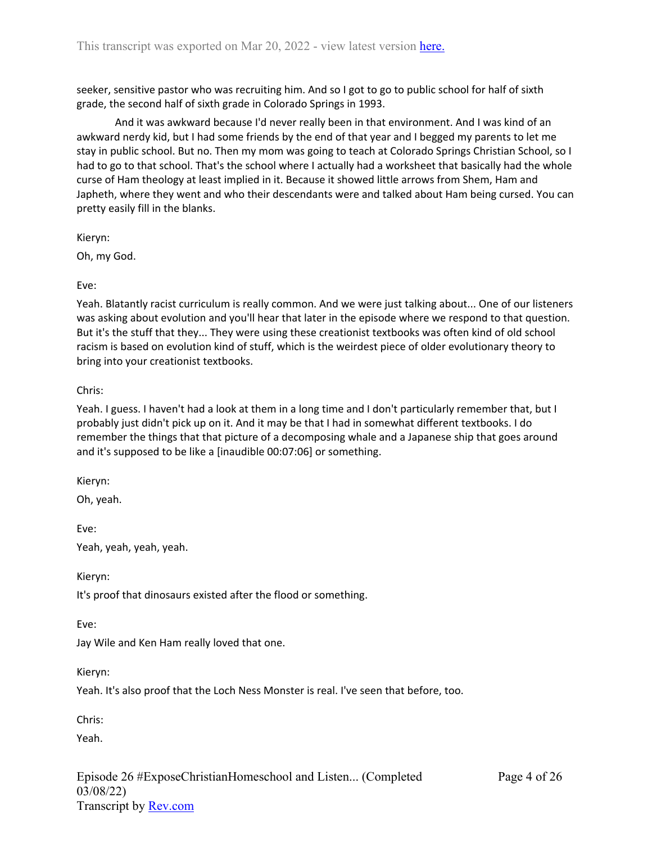seeker, sensitive pastor who was recruiting him. And so I got to go to public school for half of sixth grade, the second half of sixth grade in Colorado Springs in 1993.

And it was awkward because I'd never really been in that environment. And I was kind of an awkward nerdy kid, but I had some friends by the end of that year and I begged my parents to let me stay in public school. But no. Then my mom was going to teach at Colorado Springs Christian School, so I had to go to that school. That's the school where I actually had a worksheet that basically had the whole curse of Ham theology at least implied in it. Because it showed little arrows from Shem, Ham and Japheth, where they went and who their descendants were and talked about Ham being cursed. You can pretty easily fill in the blanks.

Kieryn:

Oh, my God.

Eve:

Yeah. Blatantly racist curriculum is really common. And we were just talking about... One of our listeners was asking about evolution and you'll hear that later in the episode where we respond to that question. But it's the stuff that they... They were using these creationist textbooks was often kind of old school racism is based on evolution kind of stuff, which is the weirdest piece of older evolutionary theory to bring into your creationist textbooks.

### Chris:

Yeah. I guess. I haven't had a look at them in a long time and I don't particularly remember that, but I probably just didn't pick up on it. And it may be that I had in somewhat different textbooks. I do remember the things that that picture of a decomposing whale and a Japanese ship that goes around and it's supposed to be like a [inaudible 00:07:06] or something.

Kieryn:

Oh, yeah.

Eve: Yeah, yeah, yeah, yeah.

Kieryn:

It's proof that dinosaurs existed after the flood or something.

Eve:

Jay Wile and Ken Ham really loved that one.

Kieryn:

Yeah. It's also proof that the Loch Ness Monster is real. I've seen that before, too.

Chris:

Yeah.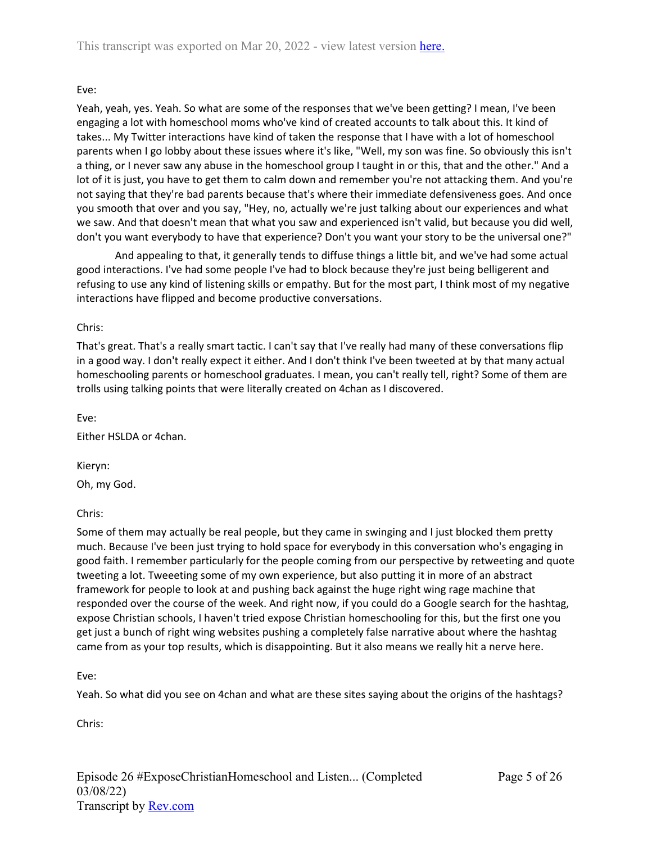## Eve:

Yeah, yeah, yes. Yeah. So what are some of the responses that we've been getting? I mean, I've been engaging a lot with homeschool moms who've kind of created accounts to talk about this. It kind of takes... My Twitter interactions have kind of taken the response that I have with a lot of homeschool parents when I go lobby about these issues where it's like, "Well, my son was fine. So obviously this isn't a thing, or I never saw any abuse in the homeschool group I taught in or this, that and the other." And a lot of it is just, you have to get them to calm down and remember you're not attacking them. And you're not saying that they're bad parents because that's where their immediate defensiveness goes. And once you smooth that over and you say, "Hey, no, actually we're just talking about our experiences and what we saw. And that doesn't mean that what you saw and experienced isn't valid, but because you did well, don't you want everybody to have that experience? Don't you want your story to be the universal one?"

And appealing to that, it generally tends to diffuse things a little bit, and we've had some actual good interactions. I've had some people I've had to block because they're just being belligerent and refusing to use any kind of listening skills or empathy. But for the most part, I think most of my negative interactions have flipped and become productive conversations.

### Chris:

That's great. That's a really smart tactic. I can't say that I've really had many of these conversations flip in a good way. I don't really expect it either. And I don't think I've been tweeted at by that many actual homeschooling parents or homeschool graduates. I mean, you can't really tell, right? Some of them are trolls using talking points that were literally created on 4chan as I discovered.

Eve:

Either HSLDA or 4chan.

Kieryn:

Oh, my God.

## Chris:

Some of them may actually be real people, but they came in swinging and I just blocked them pretty much. Because I've been just trying to hold space for everybody in this conversation who's engaging in good faith. I remember particularly for the people coming from our perspective by retweeting and quote tweeting a lot. Tweeeting some of my own experience, but also putting it in more of an abstract framework for people to look at and pushing back against the huge right wing rage machine that responded over the course of the week. And right now, if you could do a Google search for the hashtag, expose Christian schools, I haven't tried expose Christian homeschooling for this, but the first one you get just a bunch of right wing websites pushing a completely false narrative about where the hashtag came from as your top results, which is disappointing. But it also means we really hit a nerve here.

Eve:

Yeah. So what did you see on 4chan and what are these sites saying about the origins of the hashtags?

Chris: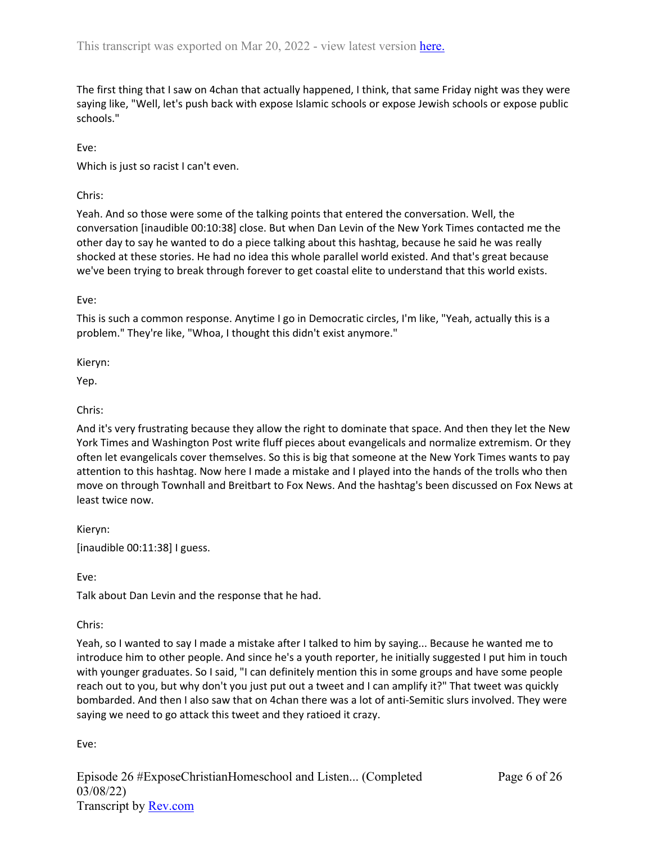The first thing that I saw on 4chan that actually happened, I think, that same Friday night was they were saying like, "Well, let's push back with expose Islamic schools or expose Jewish schools or expose public schools."

Eve:

Which is just so racist I can't even.

Chris:

Yeah. And so those were some of the talking points that entered the conversation. Well, the conversation [inaudible 00:10:38] close. But when Dan Levin of the New York Times contacted me the other day to say he wanted to do a piece talking about this hashtag, because he said he was really shocked at these stories. He had no idea this whole parallel world existed. And that's great because we've been trying to break through forever to get coastal elite to understand that this world exists.

Eve:

This is such a common response. Anytime I go in Democratic circles, I'm like, "Yeah, actually this is a problem." They're like, "Whoa, I thought this didn't exist anymore."

Kieryn:

Yep.

# Chris:

And it's very frustrating because they allow the right to dominate that space. And then they let the New York Times and Washington Post write fluff pieces about evangelicals and normalize extremism. Or they often let evangelicals cover themselves. So this is big that someone at the New York Times wants to pay attention to this hashtag. Now here I made a mistake and I played into the hands of the trolls who then move on through Townhall and Breitbart to Fox News. And the hashtag's been discussed on Fox News at least twice now.

Kieryn: [inaudible 00:11:38] I guess.

Eve:

Talk about Dan Levin and the response that he had.

Chris:

Yeah, so I wanted to say I made a mistake after I talked to him by saying... Because he wanted me to introduce him to other people. And since he's a youth reporter, he initially suggested I put him in touch with younger graduates. So I said, "I can definitely mention this in some groups and have some people reach out to you, but why don't you just put out a tweet and I can amplify it?" That tweet was quickly bombarded. And then I also saw that on 4chan there was a lot of anti-Semitic slurs involved. They were saying we need to go attack this tweet and they ratioed it crazy.

Eve: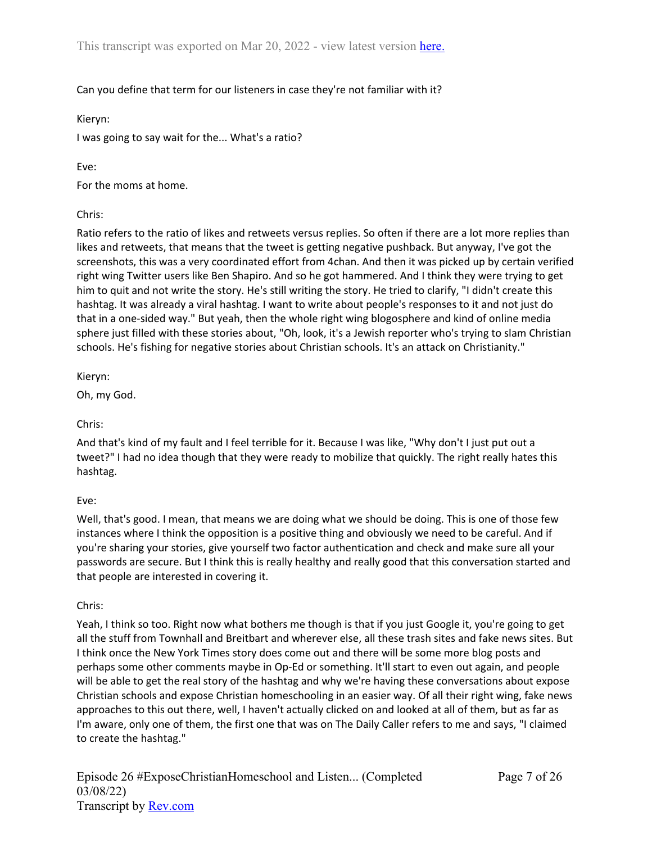# Can you define that term for our listeners in case they're not familiar with it?

Kieryn:

I was going to say wait for the... What's a ratio?

Eve:

For the moms at home.

# Chris:

Ratio refers to the ratio of likes and retweets versus replies. So often if there are a lot more replies than likes and retweets, that means that the tweet is getting negative pushback. But anyway, I've got the screenshots, this was a very coordinated effort from 4chan. And then it was picked up by certain verified right wing Twitter users like Ben Shapiro. And so he got hammered. And I think they were trying to get him to quit and not write the story. He's still writing the story. He tried to clarify, "I didn't create this hashtag. It was already a viral hashtag. I want to write about people's responses to it and not just do that in a one-sided way." But yeah, then the whole right wing blogosphere and kind of online media sphere just filled with these stories about, "Oh, look, it's a Jewish reporter who's trying to slam Christian schools. He's fishing for negative stories about Christian schools. It's an attack on Christianity."

Kieryn:

Oh, my God.

Chris:

And that's kind of my fault and I feel terrible for it. Because I was like, "Why don't I just put out a tweet?" I had no idea though that they were ready to mobilize that quickly. The right really hates this hashtag.

# Eve:

Well, that's good. I mean, that means we are doing what we should be doing. This is one of those few instances where I think the opposition is a positive thing and obviously we need to be careful. And if you're sharing your stories, give yourself two factor authentication and check and make sure all your passwords are secure. But I think this is really healthy and really good that this conversation started and that people are interested in covering it.

# Chris:

Yeah, I think so too. Right now what bothers me though is that if you just Google it, you're going to get all the stuff from Townhall and Breitbart and wherever else, all these trash sites and fake news sites. But I think once the New York Times story does come out and there will be some more blog posts and perhaps some other comments maybe in Op-Ed or something. It'll start to even out again, and people will be able to get the real story of the hashtag and why we're having these conversations about expose Christian schools and expose Christian homeschooling in an easier way. Of all their right wing, fake news approaches to this out there, well, I haven't actually clicked on and looked at all of them, but as far as I'm aware, only one of them, the first one that was on The Daily Caller refers to me and says, "I claimed to create the hashtag."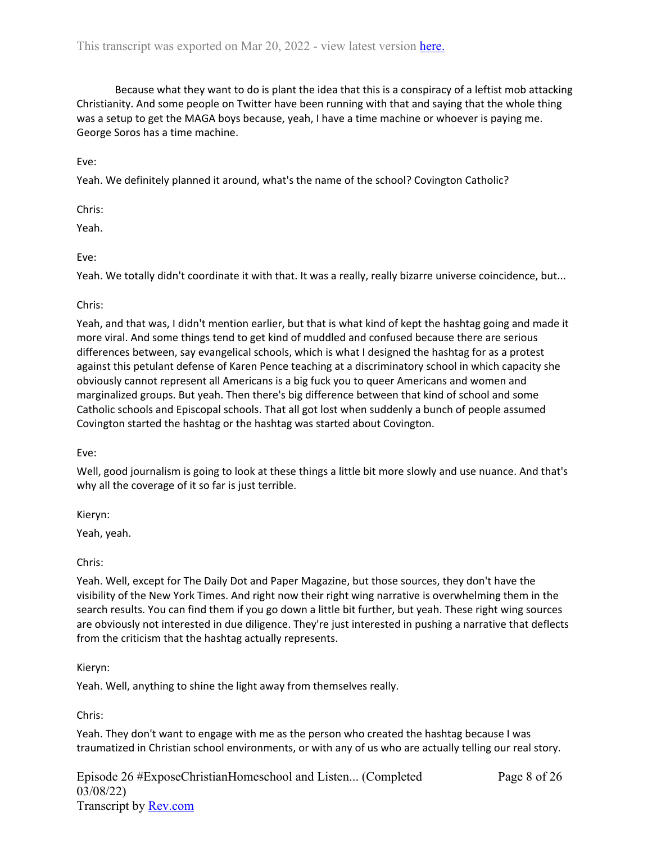Because what they want to do is plant the idea that this is a conspiracy of a leftist mob attacking Christianity. And some people on Twitter have been running with that and saying that the whole thing was a setup to get the MAGA boys because, yeah, I have a time machine or whoever is paying me. George Soros has a time machine.

Eve:

Yeah. We definitely planned it around, what's the name of the school? Covington Catholic?

Chris:

Yeah.

Eve:

Yeah. We totally didn't coordinate it with that. It was a really, really bizarre universe coincidence, but...

## Chris:

Yeah, and that was, I didn't mention earlier, but that is what kind of kept the hashtag going and made it more viral. And some things tend to get kind of muddled and confused because there are serious differences between, say evangelical schools, which is what I designed the hashtag for as a protest against this petulant defense of Karen Pence teaching at a discriminatory school in which capacity she obviously cannot represent all Americans is a big fuck you to queer Americans and women and marginalized groups. But yeah. Then there's big difference between that kind of school and some Catholic schools and Episcopal schools. That all got lost when suddenly a bunch of people assumed Covington started the hashtag or the hashtag was started about Covington.

Eve:

Well, good journalism is going to look at these things a little bit more slowly and use nuance. And that's why all the coverage of it so far is just terrible.

Kieryn:

Yeah, yeah.

Chris:

Yeah. Well, except for The Daily Dot and Paper Magazine, but those sources, they don't have the visibility of the New York Times. And right now their right wing narrative is overwhelming them in the search results. You can find them if you go down a little bit further, but yeah. These right wing sources are obviously not interested in due diligence. They're just interested in pushing a narrative that deflects from the criticism that the hashtag actually represents.

## Kieryn:

Yeah. Well, anything to shine the light away from themselves really.

Chris:

Yeah. They don't want to engage with me as the person who created the hashtag because I was traumatized in Christian school environments, or with any of us who are actually telling our real story.

Episode 26 #ExposeChristianHomeschool and Listen... (Completed 03/08/22) Transcript by [Rev.com](https://www.rev.com/)

Page 8 of 26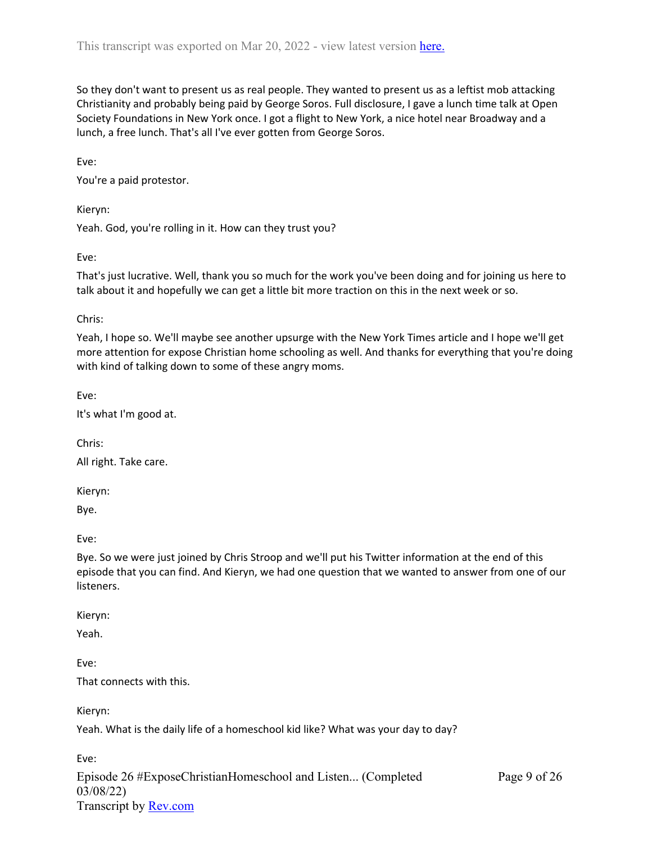So they don't want to present us as real people. They wanted to present us as a leftist mob attacking Christianity and probably being paid by George Soros. Full disclosure, I gave a lunch time talk at Open Society Foundations in New York once. I got a flight to New York, a nice hotel near Broadway and a lunch, a free lunch. That's all I've ever gotten from George Soros.

Eve:

You're a paid protestor.

Kieryn:

Yeah. God, you're rolling in it. How can they trust you?

Eve:

That's just lucrative. Well, thank you so much for the work you've been doing and for joining us here to talk about it and hopefully we can get a little bit more traction on this in the next week or so.

Chris:

Yeah, I hope so. We'll maybe see another upsurge with the New York Times article and I hope we'll get more attention for expose Christian home schooling as well. And thanks for everything that you're doing with kind of talking down to some of these angry moms.

Eve:

It's what I'm good at.

Chris:

All right. Take care.

Kieryn:

Bye.

Eve:

Bye. So we were just joined by Chris Stroop and we'll put his Twitter information at the end of this episode that you can find. And Kieryn, we had one question that we wanted to answer from one of our listeners.

Kieryn:

Yeah.

Eve:

That connects with this.

Kieryn:

Yeah. What is the daily life of a homeschool kid like? What was your day to day?

Episode 26 #ExposeChristianHomeschool and Listen... (Completed 03/08/22) Transcript by [Rev.com](https://www.rev.com/) Eve: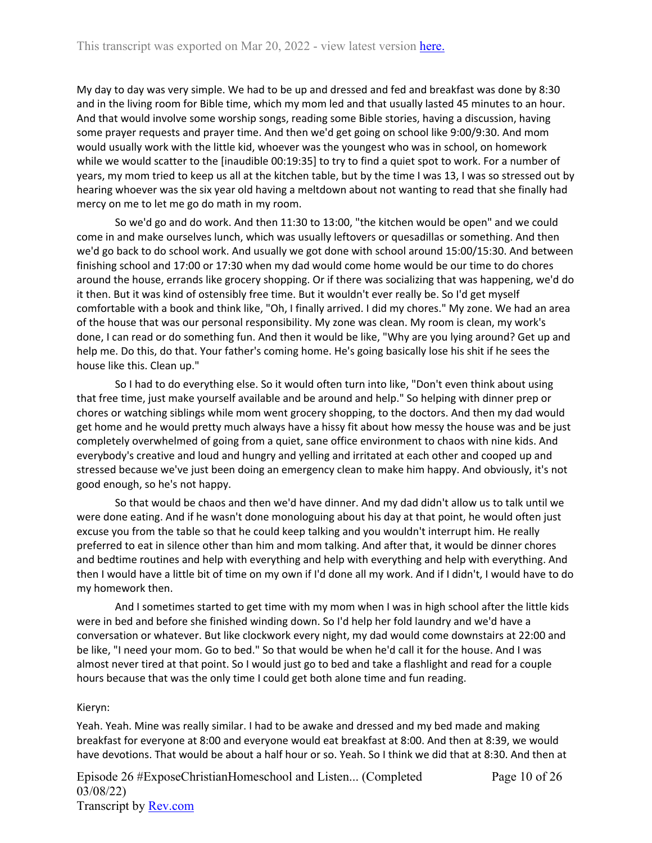My day to day was very simple. We had to be up and dressed and fed and breakfast was done by 8:30 and in the living room for Bible time, which my mom led and that usually lasted 45 minutes to an hour. And that would involve some worship songs, reading some Bible stories, having a discussion, having some prayer requests and prayer time. And then we'd get going on school like 9:00/9:30. And mom would usually work with the little kid, whoever was the youngest who was in school, on homework while we would scatter to the [inaudible 00:19:35] to try to find a quiet spot to work. For a number of years, my mom tried to keep us all at the kitchen table, but by the time I was 13, I was so stressed out by hearing whoever was the six year old having a meltdown about not wanting to read that she finally had mercy on me to let me go do math in my room.

So we'd go and do work. And then 11:30 to 13:00, "the kitchen would be open" and we could come in and make ourselves lunch, which was usually leftovers or quesadillas or something. And then we'd go back to do school work. And usually we got done with school around 15:00/15:30. And between finishing school and 17:00 or 17:30 when my dad would come home would be our time to do chores around the house, errands like grocery shopping. Or if there was socializing that was happening, we'd do it then. But it was kind of ostensibly free time. But it wouldn't ever really be. So I'd get myself comfortable with a book and think like, "Oh, I finally arrived. I did my chores." My zone. We had an area of the house that was our personal responsibility. My zone was clean. My room is clean, my work's done, I can read or do something fun. And then it would be like, "Why are you lying around? Get up and help me. Do this, do that. Your father's coming home. He's going basically lose his shit if he sees the house like this. Clean up."

So I had to do everything else. So it would often turn into like, "Don't even think about using that free time, just make yourself available and be around and help." So helping with dinner prep or chores or watching siblings while mom went grocery shopping, to the doctors. And then my dad would get home and he would pretty much always have a hissy fit about how messy the house was and be just completely overwhelmed of going from a quiet, sane office environment to chaos with nine kids. And everybody's creative and loud and hungry and yelling and irritated at each other and cooped up and stressed because we've just been doing an emergency clean to make him happy. And obviously, it's not good enough, so he's not happy.

So that would be chaos and then we'd have dinner. And my dad didn't allow us to talk until we were done eating. And if he wasn't done monologuing about his day at that point, he would often just excuse you from the table so that he could keep talking and you wouldn't interrupt him. He really preferred to eat in silence other than him and mom talking. And after that, it would be dinner chores and bedtime routines and help with everything and help with everything and help with everything. And then I would have a little bit of time on my own if I'd done all my work. And if I didn't, I would have to do my homework then.

And I sometimes started to get time with my mom when I was in high school after the little kids were in bed and before she finished winding down. So I'd help her fold laundry and we'd have a conversation or whatever. But like clockwork every night, my dad would come downstairs at 22:00 and be like, "I need your mom. Go to bed." So that would be when he'd call it for the house. And I was almost never tired at that point. So I would just go to bed and take a flashlight and read for a couple hours because that was the only time I could get both alone time and fun reading.

### Kieryn:

Yeah. Yeah. Mine was really similar. I had to be awake and dressed and my bed made and making breakfast for everyone at 8:00 and everyone would eat breakfast at 8:00. And then at 8:39, we would have devotions. That would be about a half hour or so. Yeah. So I think we did that at 8:30. And then at

Episode 26 #ExposeChristianHomeschool and Listen... (Completed 03/08/22) Transcript by [Rev.com](https://www.rev.com/)

Page 10 of 26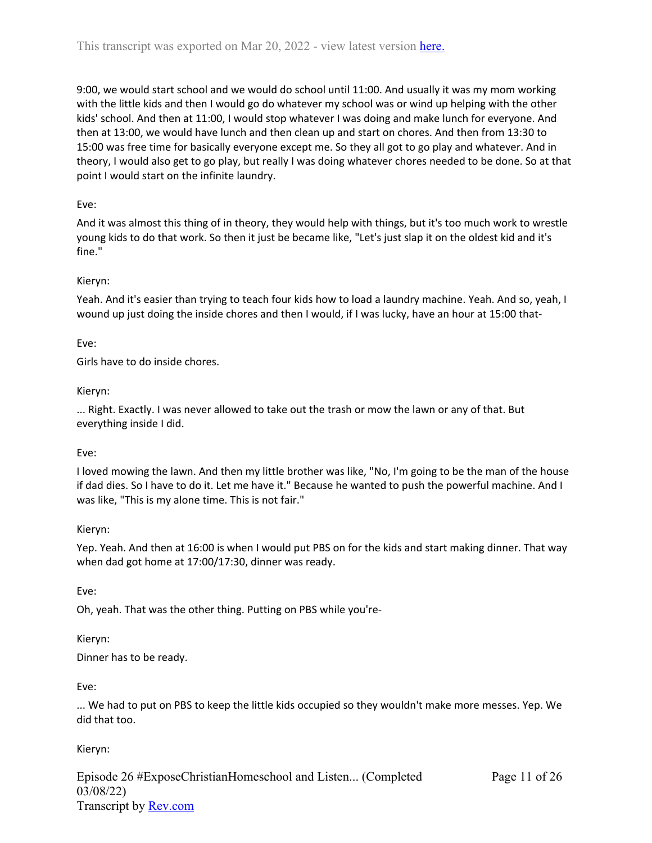9:00, we would start school and we would do school until 11:00. And usually it was my mom working with the little kids and then I would go do whatever my school was or wind up helping with the other kids' school. And then at 11:00, I would stop whatever I was doing and make lunch for everyone. And then at 13:00, we would have lunch and then clean up and start on chores. And then from 13:30 to 15:00 was free time for basically everyone except me. So they all got to go play and whatever. And in theory, I would also get to go play, but really I was doing whatever chores needed to be done. So at that point I would start on the infinite laundry.

# Eve:

And it was almost this thing of in theory, they would help with things, but it's too much work to wrestle young kids to do that work. So then it just be became like, "Let's just slap it on the oldest kid and it's fine."

## Kieryn:

Yeah. And it's easier than trying to teach four kids how to load a laundry machine. Yeah. And so, yeah, I wound up just doing the inside chores and then I would, if I was lucky, have an hour at 15:00 that-

### Eve:

Girls have to do inside chores.

### Kieryn:

... Right. Exactly. I was never allowed to take out the trash or mow the lawn or any of that. But everything inside I did.

## Eve:

I loved mowing the lawn. And then my little brother was like, "No, I'm going to be the man of the house if dad dies. So I have to do it. Let me have it." Because he wanted to push the powerful machine. And I was like, "This is my alone time. This is not fair."

### Kieryn:

Yep. Yeah. And then at 16:00 is when I would put PBS on for the kids and start making dinner. That way when dad got home at 17:00/17:30, dinner was ready.

Eve:

Oh, yeah. That was the other thing. Putting on PBS while you're-

### Kieryn:

Dinner has to be ready.

Eve:

... We had to put on PBS to keep the little kids occupied so they wouldn't make more messes. Yep. We did that too.

## Kieryn:

Episode 26 #ExposeChristianHomeschool and Listen... (Completed 03/08/22) Transcript by [Rev.com](https://www.rev.com/)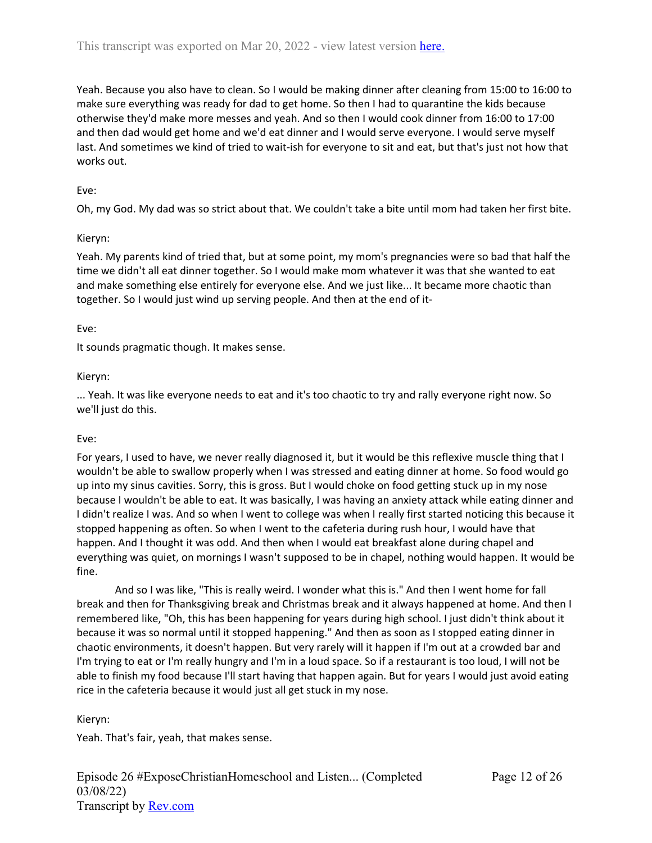Yeah. Because you also have to clean. So I would be making dinner after cleaning from 15:00 to 16:00 to make sure everything was ready for dad to get home. So then I had to quarantine the kids because otherwise they'd make more messes and yeah. And so then I would cook dinner from 16:00 to 17:00 and then dad would get home and we'd eat dinner and I would serve everyone. I would serve myself last. And sometimes we kind of tried to wait-ish for everyone to sit and eat, but that's just not how that works out.

## Eve:

Oh, my God. My dad was so strict about that. We couldn't take a bite until mom had taken her first bite.

## Kieryn:

Yeah. My parents kind of tried that, but at some point, my mom's pregnancies were so bad that half the time we didn't all eat dinner together. So I would make mom whatever it was that she wanted to eat and make something else entirely for everyone else. And we just like... It became more chaotic than together. So I would just wind up serving people. And then at the end of it-

# Eve:

It sounds pragmatic though. It makes sense.

# Kieryn:

... Yeah. It was like everyone needs to eat and it's too chaotic to try and rally everyone right now. So we'll just do this.

## Eve:

For years, I used to have, we never really diagnosed it, but it would be this reflexive muscle thing that I wouldn't be able to swallow properly when I was stressed and eating dinner at home. So food would go up into my sinus cavities. Sorry, this is gross. But I would choke on food getting stuck up in my nose because I wouldn't be able to eat. It was basically, I was having an anxiety attack while eating dinner and I didn't realize I was. And so when I went to college was when I really first started noticing this because it stopped happening as often. So when I went to the cafeteria during rush hour, I would have that happen. And I thought it was odd. And then when I would eat breakfast alone during chapel and everything was quiet, on mornings I wasn't supposed to be in chapel, nothing would happen. It would be fine.

And so I was like, "This is really weird. I wonder what this is." And then I went home for fall break and then for Thanksgiving break and Christmas break and it always happened at home. And then I remembered like, "Oh, this has been happening for years during high school. I just didn't think about it because it was so normal until it stopped happening." And then as soon as I stopped eating dinner in chaotic environments, it doesn't happen. But very rarely will it happen if I'm out at a crowded bar and I'm trying to eat or I'm really hungry and I'm in a loud space. So if a restaurant is too loud, I will not be able to finish my food because I'll start having that happen again. But for years I would just avoid eating rice in the cafeteria because it would just all get stuck in my nose.

## Kieryn:

Yeah. That's fair, yeah, that makes sense.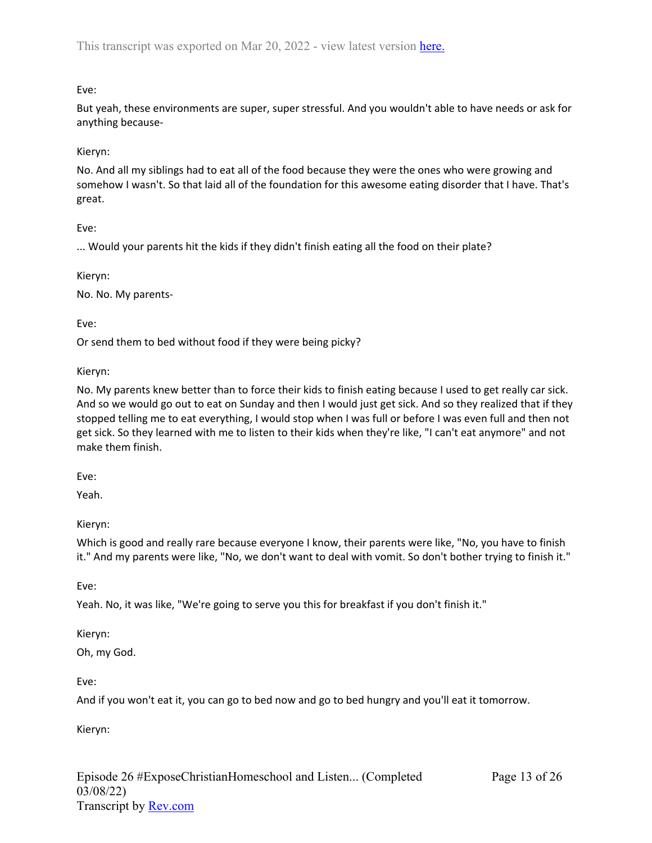# Eve:

But yeah, these environments are super, super stressful. And you wouldn't able to have needs or ask for anything because-

## Kieryn:

No. And all my siblings had to eat all of the food because they were the ones who were growing and somehow I wasn't. So that laid all of the foundation for this awesome eating disorder that I have. That's great.

## Eve:

... Would your parents hit the kids if they didn't finish eating all the food on their plate?

### Kieryn:

No. No. My parents-

Eve:

Or send them to bed without food if they were being picky?

### Kieryn:

No. My parents knew better than to force their kids to finish eating because I used to get really car sick. And so we would go out to eat on Sunday and then I would just get sick. And so they realized that if they stopped telling me to eat everything, I would stop when I was full or before I was even full and then not get sick. So they learned with me to listen to their kids when they're like, "I can't eat anymore" and not make them finish.

Eve:

Yeah.

## Kieryn:

Which is good and really rare because everyone I know, their parents were like, "No, you have to finish it." And my parents were like, "No, we don't want to deal with vomit. So don't bother trying to finish it."

Eve:

Yeah. No, it was like, "We're going to serve you this for breakfast if you don't finish it."

## Kieryn:

Oh, my God.

Eve:

And if you won't eat it, you can go to bed now and go to bed hungry and you'll eat it tomorrow.

Kieryn: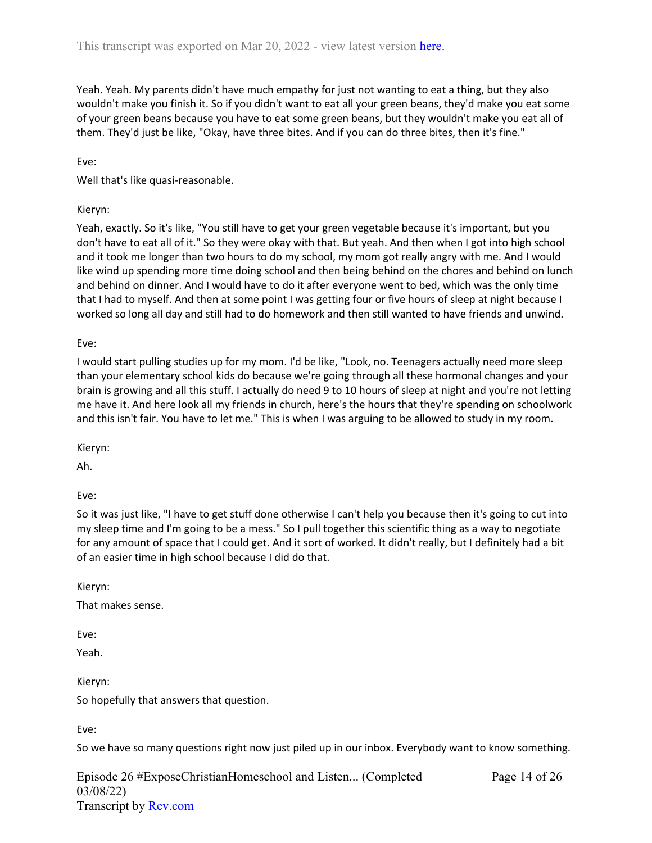Yeah. Yeah. My parents didn't have much empathy for just not wanting to eat a thing, but they also wouldn't make you finish it. So if you didn't want to eat all your green beans, they'd make you eat some of your green beans because you have to eat some green beans, but they wouldn't make you eat all of them. They'd just be like, "Okay, have three bites. And if you can do three bites, then it's fine."

Eve:

Well that's like quasi-reasonable.

#### Kieryn:

Yeah, exactly. So it's like, "You still have to get your green vegetable because it's important, but you don't have to eat all of it." So they were okay with that. But yeah. And then when I got into high school and it took me longer than two hours to do my school, my mom got really angry with me. And I would like wind up spending more time doing school and then being behind on the chores and behind on lunch and behind on dinner. And I would have to do it after everyone went to bed, which was the only time that I had to myself. And then at some point I was getting four or five hours of sleep at night because I worked so long all day and still had to do homework and then still wanted to have friends and unwind.

Eve:

I would start pulling studies up for my mom. I'd be like, "Look, no. Teenagers actually need more sleep than your elementary school kids do because we're going through all these hormonal changes and your brain is growing and all this stuff. I actually do need 9 to 10 hours of sleep at night and you're not letting me have it. And here look all my friends in church, here's the hours that they're spending on schoolwork and this isn't fair. You have to let me." This is when I was arguing to be allowed to study in my room.

Kieryn:

Ah.

Eve:

So it was just like, "I have to get stuff done otherwise I can't help you because then it's going to cut into my sleep time and I'm going to be a mess." So I pull together this scientific thing as a way to negotiate for any amount of space that I could get. And it sort of worked. It didn't really, but I definitely had a bit of an easier time in high school because I did do that.

Kieryn:

That makes sense.

Eve:

Yeah.

Kieryn:

So hopefully that answers that question.

Eve:

So we have so many questions right now just piled up in our inbox. Everybody want to know something.

Episode 26 #ExposeChristianHomeschool and Listen... (Completed 03/08/22) Transcript by [Rev.com](https://www.rev.com/)

Page 14 of 26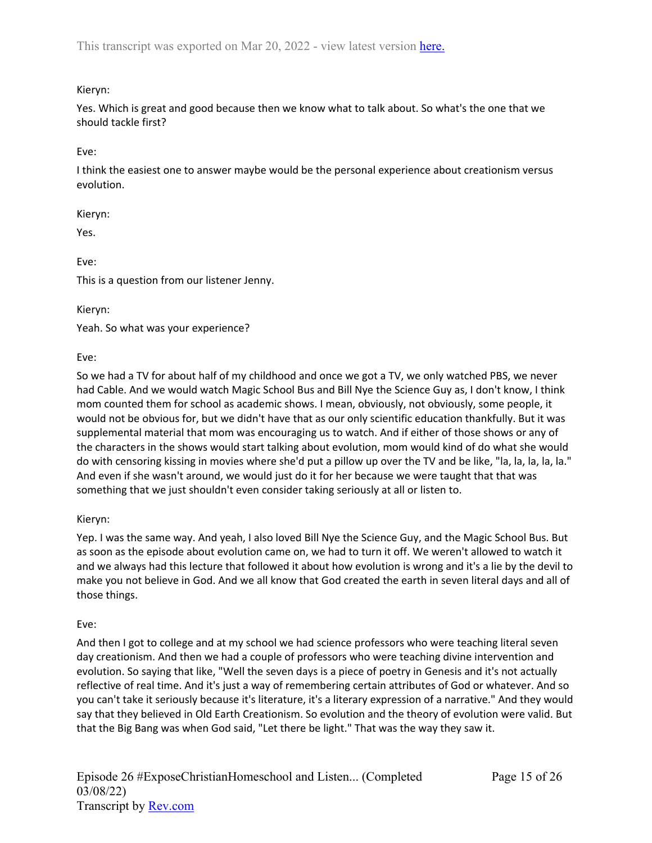# Kieryn:

Yes. Which is great and good because then we know what to talk about. So what's the one that we should tackle first?

Eve:

I think the easiest one to answer maybe would be the personal experience about creationism versus evolution.

Kieryn:

Yes.

Eve:

This is a question from our listener Jenny.

Kieryn:

Yeah. So what was your experience?

Eve:

So we had a TV for about half of my childhood and once we got a TV, we only watched PBS, we never had Cable. And we would watch Magic School Bus and Bill Nye the Science Guy as, I don't know, I think mom counted them for school as academic shows. I mean, obviously, not obviously, some people, it would not be obvious for, but we didn't have that as our only scientific education thankfully. But it was supplemental material that mom was encouraging us to watch. And if either of those shows or any of the characters in the shows would start talking about evolution, mom would kind of do what she would do with censoring kissing in movies where she'd put a pillow up over the TV and be like, "la, la, la, la, la." And even if she wasn't around, we would just do it for her because we were taught that that was something that we just shouldn't even consider taking seriously at all or listen to.

# Kieryn:

Yep. I was the same way. And yeah, I also loved Bill Nye the Science Guy, and the Magic School Bus. But as soon as the episode about evolution came on, we had to turn it off. We weren't allowed to watch it and we always had this lecture that followed it about how evolution is wrong and it's a lie by the devil to make you not believe in God. And we all know that God created the earth in seven literal days and all of those things.

# Eve:

And then I got to college and at my school we had science professors who were teaching literal seven day creationism. And then we had a couple of professors who were teaching divine intervention and evolution. So saying that like, "Well the seven days is a piece of poetry in Genesis and it's not actually reflective of real time. And it's just a way of remembering certain attributes of God or whatever. And so you can't take it seriously because it's literature, it's a literary expression of a narrative." And they would say that they believed in Old Earth Creationism. So evolution and the theory of evolution were valid. But that the Big Bang was when God said, "Let there be light." That was the way they saw it.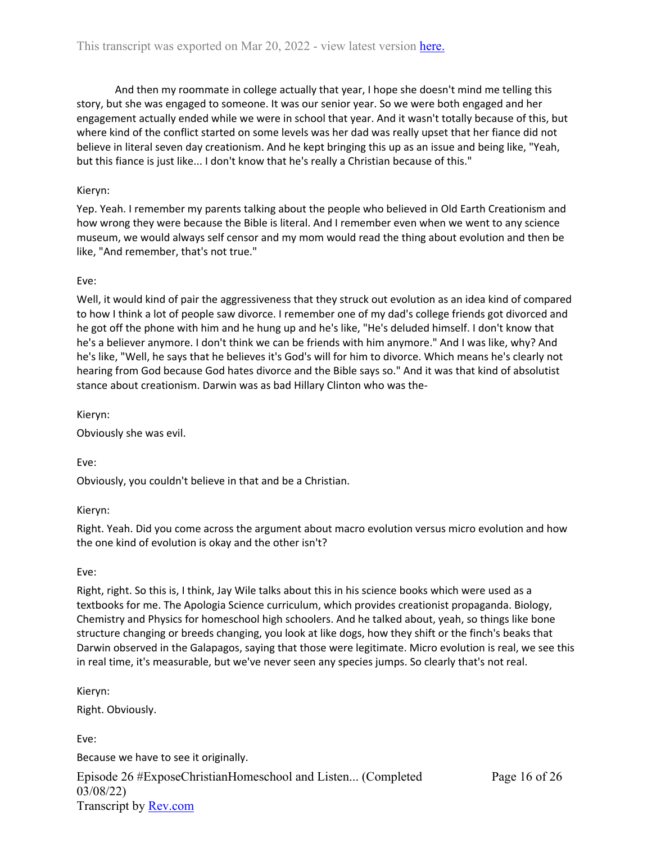And then my roommate in college actually that year, I hope she doesn't mind me telling this story, but she was engaged to someone. It was our senior year. So we were both engaged and her engagement actually ended while we were in school that year. And it wasn't totally because of this, but where kind of the conflict started on some levels was her dad was really upset that her fiance did not believe in literal seven day creationism. And he kept bringing this up as an issue and being like, "Yeah, but this fiance is just like... I don't know that he's really a Christian because of this."

## Kieryn:

Yep. Yeah. I remember my parents talking about the people who believed in Old Earth Creationism and how wrong they were because the Bible is literal. And I remember even when we went to any science museum, we would always self censor and my mom would read the thing about evolution and then be like, "And remember, that's not true."

## Eve:

Well, it would kind of pair the aggressiveness that they struck out evolution as an idea kind of compared to how I think a lot of people saw divorce. I remember one of my dad's college friends got divorced and he got off the phone with him and he hung up and he's like, "He's deluded himself. I don't know that he's a believer anymore. I don't think we can be friends with him anymore." And I was like, why? And he's like, "Well, he says that he believes it's God's will for him to divorce. Which means he's clearly not hearing from God because God hates divorce and the Bible says so." And it was that kind of absolutist stance about creationism. Darwin was as bad Hillary Clinton who was the-

Kieryn:

Obviously she was evil.

Eve:

Obviously, you couldn't believe in that and be a Christian.

## Kieryn:

Right. Yeah. Did you come across the argument about macro evolution versus micro evolution and how the one kind of evolution is okay and the other isn't?

### Eve:

Right, right. So this is, I think, Jay Wile talks about this in his science books which were used as a textbooks for me. The Apologia Science curriculum, which provides creationist propaganda. Biology, Chemistry and Physics for homeschool high schoolers. And he talked about, yeah, so things like bone structure changing or breeds changing, you look at like dogs, how they shift or the finch's beaks that Darwin observed in the Galapagos, saying that those were legitimate. Micro evolution is real, we see this in real time, it's measurable, but we've never seen any species jumps. So clearly that's not real.

Kieryn:

Right. Obviously.

Eve:

Because we have to see it originally.

Episode 26 #ExposeChristianHomeschool and Listen... (Completed 03/08/22) Transcript by [Rev.com](https://www.rev.com/)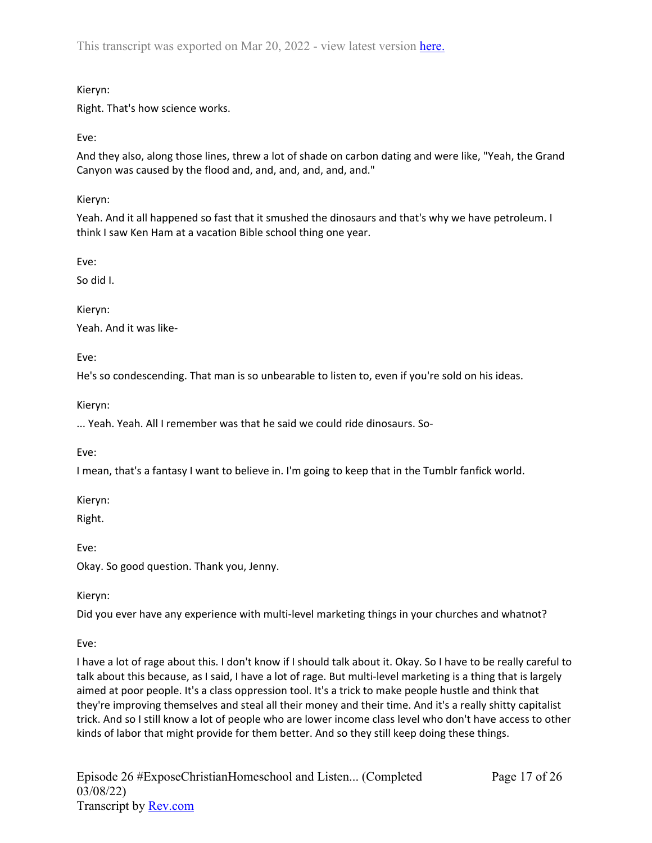This transcript was exported on Mar 20, 2022 - view latest version [here.](https://www.rev.com/transcript-editor/Edit?token=7N2sNEb0tsxpz14mH0gLbPazp5sX9RELRsgYEIvEiaufRSDOnAPhonpt_4sdpWfBPf1R184oA5hOF0ZbaOzzaRLfcgg&loadFrom=DocumentHeaderDeepLink)

# Kieryn:

Right. That's how science works.

Eve:

And they also, along those lines, threw a lot of shade on carbon dating and were like, "Yeah, the Grand Canyon was caused by the flood and, and, and, and, and, and."

Kieryn:

Yeah. And it all happened so fast that it smushed the dinosaurs and that's why we have petroleum. I think I saw Ken Ham at a vacation Bible school thing one year.

Eve:

So did I.

Kieryn:

Yeah. And it was like-

Eve:

He's so condescending. That man is so unbearable to listen to, even if you're sold on his ideas.

Kieryn:

... Yeah. Yeah. All I remember was that he said we could ride dinosaurs. So-

Eve:

I mean, that's a fantasy I want to believe in. I'm going to keep that in the Tumblr fanfick world.

Kieryn:

Right.

Eve:

Okay. So good question. Thank you, Jenny.

Kieryn:

Did you ever have any experience with multi-level marketing things in your churches and whatnot?

Eve:

I have a lot of rage about this. I don't know if I should talk about it. Okay. So I have to be really careful to talk about this because, as I said, I have a lot of rage. But multi-level marketing is a thing that is largely aimed at poor people. It's a class oppression tool. It's a trick to make people hustle and think that they're improving themselves and steal all their money and their time. And it's a really shitty capitalist trick. And so I still know a lot of people who are lower income class level who don't have access to other kinds of labor that might provide for them better. And so they still keep doing these things.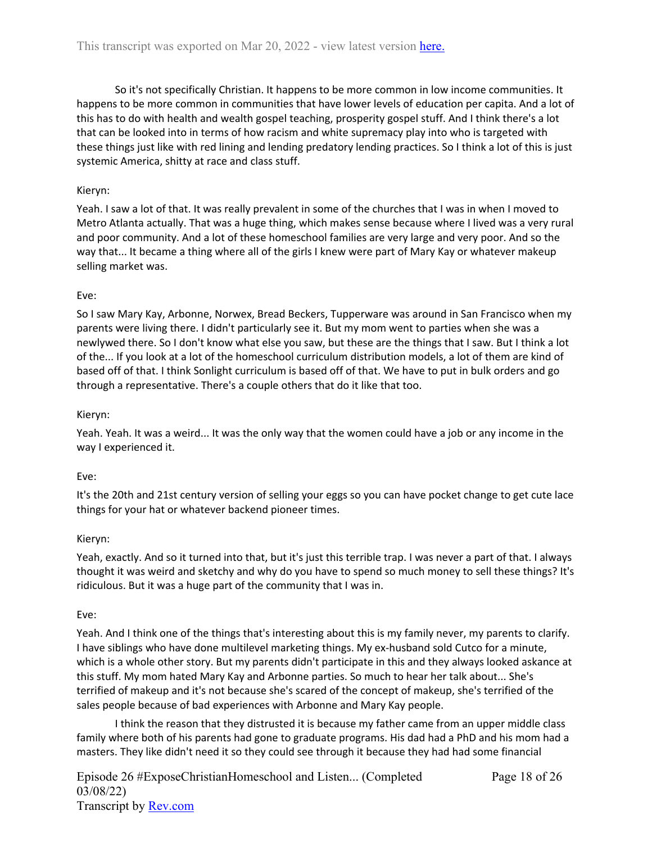So it's not specifically Christian. It happens to be more common in low income communities. It happens to be more common in communities that have lower levels of education per capita. And a lot of this has to do with health and wealth gospel teaching, prosperity gospel stuff. And I think there's a lot that can be looked into in terms of how racism and white supremacy play into who is targeted with these things just like with red lining and lending predatory lending practices. So I think a lot of this is just systemic America, shitty at race and class stuff.

# Kieryn:

Yeah. I saw a lot of that. It was really prevalent in some of the churches that I was in when I moved to Metro Atlanta actually. That was a huge thing, which makes sense because where I lived was a very rural and poor community. And a lot of these homeschool families are very large and very poor. And so the way that... It became a thing where all of the girls I knew were part of Mary Kay or whatever makeup selling market was.

# Eve:

So I saw Mary Kay, Arbonne, Norwex, Bread Beckers, Tupperware was around in San Francisco when my parents were living there. I didn't particularly see it. But my mom went to parties when she was a newlywed there. So I don't know what else you saw, but these are the things that I saw. But I think a lot of the... If you look at a lot of the homeschool curriculum distribution models, a lot of them are kind of based off of that. I think Sonlight curriculum is based off of that. We have to put in bulk orders and go through a representative. There's a couple others that do it like that too.

## Kieryn:

Yeah. Yeah. It was a weird... It was the only way that the women could have a job or any income in the way I experienced it.

## Eve:

It's the 20th and 21st century version of selling your eggs so you can have pocket change to get cute lace things for your hat or whatever backend pioneer times.

## Kieryn:

Yeah, exactly. And so it turned into that, but it's just this terrible trap. I was never a part of that. I always thought it was weird and sketchy and why do you have to spend so much money to sell these things? It's ridiculous. But it was a huge part of the community that I was in.

## Eve:

Yeah. And I think one of the things that's interesting about this is my family never, my parents to clarify. I have siblings who have done multilevel marketing things. My ex-husband sold Cutco for a minute, which is a whole other story. But my parents didn't participate in this and they always looked askance at this stuff. My mom hated Mary Kay and Arbonne parties. So much to hear her talk about... She's terrified of makeup and it's not because she's scared of the concept of makeup, she's terrified of the sales people because of bad experiences with Arbonne and Mary Kay people.

I think the reason that they distrusted it is because my father came from an upper middle class family where both of his parents had gone to graduate programs. His dad had a PhD and his mom had a masters. They like didn't need it so they could see through it because they had had some financial

Episode 26 #ExposeChristianHomeschool and Listen... (Completed 03/08/22) Transcript by [Rev.com](https://www.rev.com/)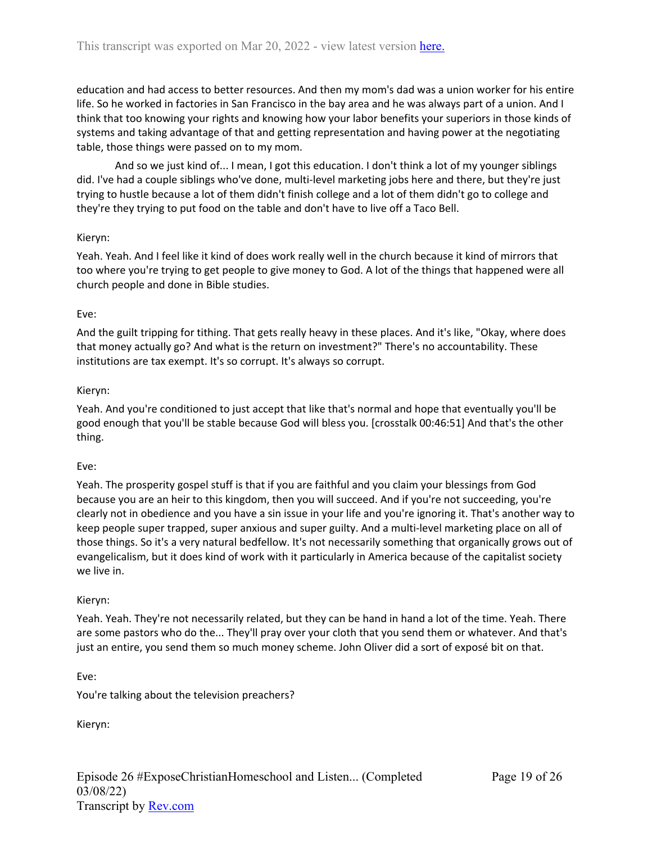education and had access to better resources. And then my mom's dad was a union worker for his entire life. So he worked in factories in San Francisco in the bay area and he was always part of a union. And I think that too knowing your rights and knowing how your labor benefits your superiors in those kinds of systems and taking advantage of that and getting representation and having power at the negotiating table, those things were passed on to my mom.

And so we just kind of... I mean, I got this education. I don't think a lot of my younger siblings did. I've had a couple siblings who've done, multi-level marketing jobs here and there, but they're just trying to hustle because a lot of them didn't finish college and a lot of them didn't go to college and they're they trying to put food on the table and don't have to live off a Taco Bell.

### Kieryn:

Yeah. Yeah. And I feel like it kind of does work really well in the church because it kind of mirrors that too where you're trying to get people to give money to God. A lot of the things that happened were all church people and done in Bible studies.

### Eve:

And the guilt tripping for tithing. That gets really heavy in these places. And it's like, "Okay, where does that money actually go? And what is the return on investment?" There's no accountability. These institutions are tax exempt. It's so corrupt. It's always so corrupt.

### Kieryn:

Yeah. And you're conditioned to just accept that like that's normal and hope that eventually you'll be good enough that you'll be stable because God will bless you. [crosstalk 00:46:51] And that's the other thing.

### Eve:

Yeah. The prosperity gospel stuff is that if you are faithful and you claim your blessings from God because you are an heir to this kingdom, then you will succeed. And if you're not succeeding, you're clearly not in obedience and you have a sin issue in your life and you're ignoring it. That's another way to keep people super trapped, super anxious and super guilty. And a multi-level marketing place on all of those things. So it's a very natural bedfellow. It's not necessarily something that organically grows out of evangelicalism, but it does kind of work with it particularly in America because of the capitalist society we live in.

### Kieryn:

Yeah. Yeah. They're not necessarily related, but they can be hand in hand a lot of the time. Yeah. There are some pastors who do the... They'll pray over your cloth that you send them or whatever. And that's just an entire, you send them so much money scheme. John Oliver did a sort of exposé bit on that.

Eve:

You're talking about the television preachers?

Kieryn: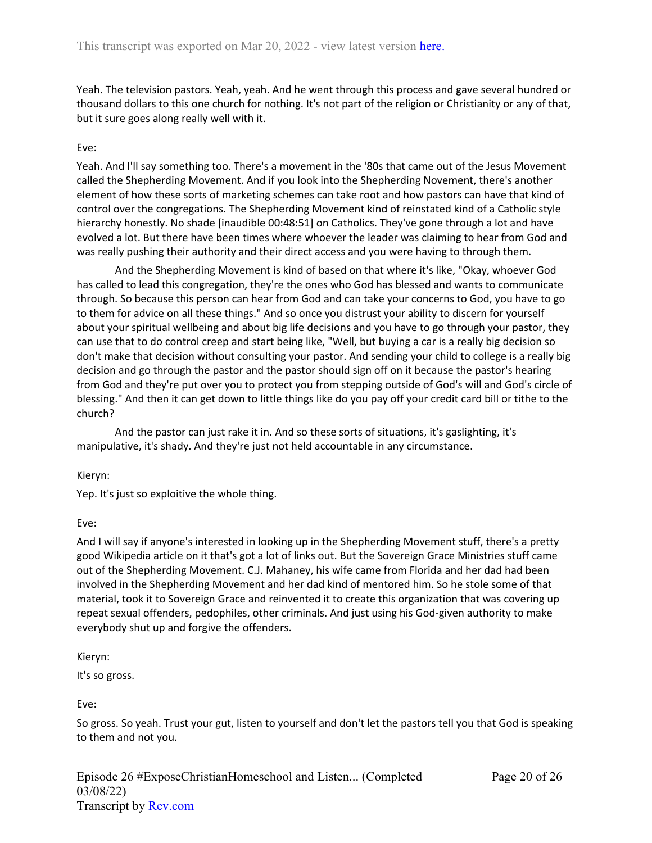Yeah. The television pastors. Yeah, yeah. And he went through this process and gave several hundred or thousand dollars to this one church for nothing. It's not part of the religion or Christianity or any of that, but it sure goes along really well with it.

# Eve:

Yeah. And I'll say something too. There's a movement in the '80s that came out of the Jesus Movement called the Shepherding Movement. And if you look into the Shepherding Novement, there's another element of how these sorts of marketing schemes can take root and how pastors can have that kind of control over the congregations. The Shepherding Movement kind of reinstated kind of a Catholic style hierarchy honestly. No shade [inaudible 00:48:51] on Catholics. They've gone through a lot and have evolved a lot. But there have been times where whoever the leader was claiming to hear from God and was really pushing their authority and their direct access and you were having to through them.

And the Shepherding Movement is kind of based on that where it's like, "Okay, whoever God has called to lead this congregation, they're the ones who God has blessed and wants to communicate through. So because this person can hear from God and can take your concerns to God, you have to go to them for advice on all these things." And so once you distrust your ability to discern for yourself about your spiritual wellbeing and about big life decisions and you have to go through your pastor, they can use that to do control creep and start being like, "Well, but buying a car is a really big decision so don't make that decision without consulting your pastor. And sending your child to college is a really big decision and go through the pastor and the pastor should sign off on it because the pastor's hearing from God and they're put over you to protect you from stepping outside of God's will and God's circle of blessing." And then it can get down to little things like do you pay off your credit card bill or tithe to the church?

And the pastor can just rake it in. And so these sorts of situations, it's gaslighting, it's manipulative, it's shady. And they're just not held accountable in any circumstance.

Kieryn:

Yep. It's just so exploitive the whole thing.

## Eve:

And I will say if anyone's interested in looking up in the Shepherding Movement stuff, there's a pretty good Wikipedia article on it that's got a lot of links out. But the Sovereign Grace Ministries stuff came out of the Shepherding Movement. C.J. Mahaney, his wife came from Florida and her dad had been involved in the Shepherding Movement and her dad kind of mentored him. So he stole some of that material, took it to Sovereign Grace and reinvented it to create this organization that was covering up repeat sexual offenders, pedophiles, other criminals. And just using his God-given authority to make everybody shut up and forgive the offenders.

Kieryn:

It's so gross.

Eve:

So gross. So yeah. Trust your gut, listen to yourself and don't let the pastors tell you that God is speaking to them and not you.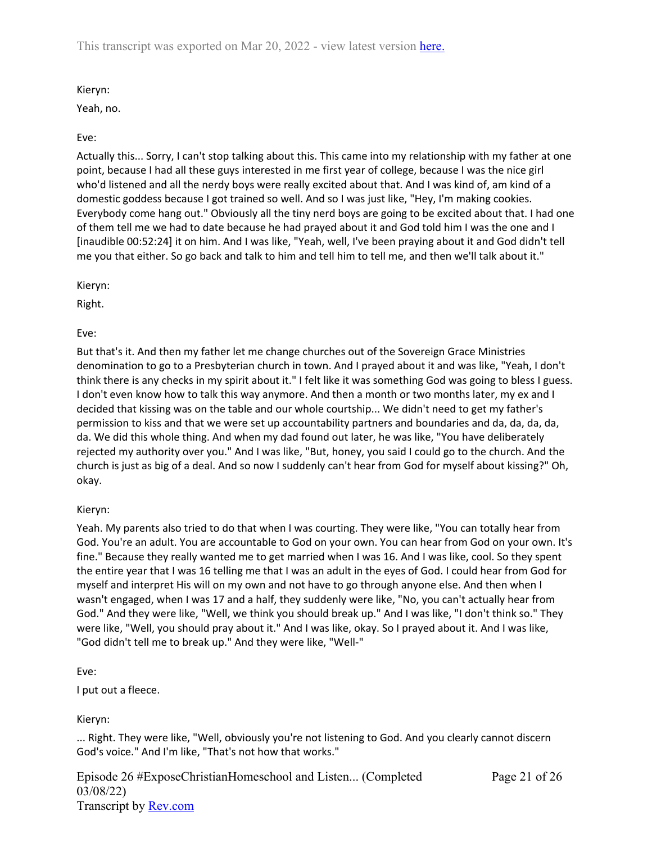This transcript was exported on Mar 20, 2022 - view latest version [here.](https://www.rev.com/transcript-editor/Edit?token=7N2sNEb0tsxpz14mH0gLbPazp5sX9RELRsgYEIvEiaufRSDOnAPhonpt_4sdpWfBPf1R184oA5hOF0ZbaOzzaRLfcgg&loadFrom=DocumentHeaderDeepLink)

Kieryn:

Yeah, no.

## Eve:

Actually this... Sorry, I can't stop talking about this. This came into my relationship with my father at one point, because I had all these guys interested in me first year of college, because I was the nice girl who'd listened and all the nerdy boys were really excited about that. And I was kind of, am kind of a domestic goddess because I got trained so well. And so I was just like, "Hey, I'm making cookies. Everybody come hang out." Obviously all the tiny nerd boys are going to be excited about that. I had one of them tell me we had to date because he had prayed about it and God told him I was the one and I [inaudible 00:52:24] it on him. And I was like, "Yeah, well, I've been praying about it and God didn't tell me you that either. So go back and talk to him and tell him to tell me, and then we'll talk about it."

Kieryn:

Right.

Eve:

But that's it. And then my father let me change churches out of the Sovereign Grace Ministries denomination to go to a Presbyterian church in town. And I prayed about it and was like, "Yeah, I don't think there is any checks in my spirit about it." I felt like it was something God was going to bless I guess. I don't even know how to talk this way anymore. And then a month or two months later, my ex and I decided that kissing was on the table and our whole courtship... We didn't need to get my father's permission to kiss and that we were set up accountability partners and boundaries and da, da, da, da, da. We did this whole thing. And when my dad found out later, he was like, "You have deliberately rejected my authority over you." And I was like, "But, honey, you said I could go to the church. And the church is just as big of a deal. And so now I suddenly can't hear from God for myself about kissing?" Oh, okay.

## Kieryn:

Yeah. My parents also tried to do that when I was courting. They were like, "You can totally hear from God. You're an adult. You are accountable to God on your own. You can hear from God on your own. It's fine." Because they really wanted me to get married when I was 16. And I was like, cool. So they spent the entire year that I was 16 telling me that I was an adult in the eyes of God. I could hear from God for myself and interpret His will on my own and not have to go through anyone else. And then when I wasn't engaged, when I was 17 and a half, they suddenly were like, "No, you can't actually hear from God." And they were like, "Well, we think you should break up." And I was like, "I don't think so." They were like, "Well, you should pray about it." And I was like, okay. So I prayed about it. And I was like, "God didn't tell me to break up." And they were like, "Well-"

Eve:

I put out a fleece.

Kieryn:

... Right. They were like, "Well, obviously you're not listening to God. And you clearly cannot discern God's voice." And I'm like, "That's not how that works."

Episode 26 #ExposeChristianHomeschool and Listen... (Completed 03/08/22) Transcript by [Rev.com](https://www.rev.com/)

Page 21 of 26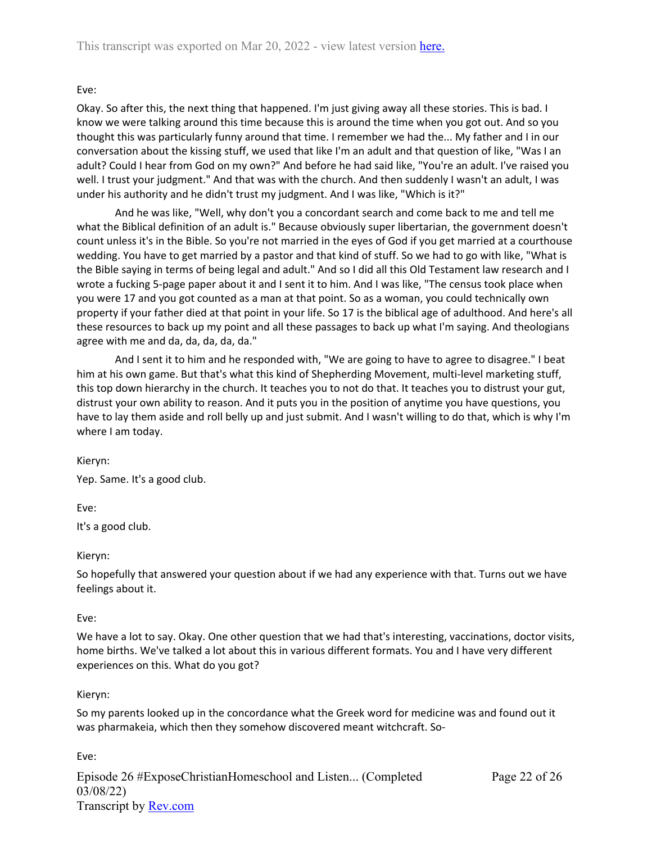### Eve:

Okay. So after this, the next thing that happened. I'm just giving away all these stories. This is bad. I know we were talking around this time because this is around the time when you got out. And so you thought this was particularly funny around that time. I remember we had the... My father and I in our conversation about the kissing stuff, we used that like I'm an adult and that question of like, "Was I an adult? Could I hear from God on my own?" And before he had said like, "You're an adult. I've raised you well. I trust your judgment." And that was with the church. And then suddenly I wasn't an adult, I was under his authority and he didn't trust my judgment. And I was like, "Which is it?"

And he was like, "Well, why don't you a concordant search and come back to me and tell me what the Biblical definition of an adult is." Because obviously super libertarian, the government doesn't count unless it's in the Bible. So you're not married in the eyes of God if you get married at a courthouse wedding. You have to get married by a pastor and that kind of stuff. So we had to go with like, "What is the Bible saying in terms of being legal and adult." And so I did all this Old Testament law research and I wrote a fucking 5-page paper about it and I sent it to him. And I was like, "The census took place when you were 17 and you got counted as a man at that point. So as a woman, you could technically own property if your father died at that point in your life. So 17 is the biblical age of adulthood. And here's all these resources to back up my point and all these passages to back up what I'm saying. And theologians agree with me and da, da, da, da, da."

And I sent it to him and he responded with, "We are going to have to agree to disagree." I beat him at his own game. But that's what this kind of Shepherding Movement, multi-level marketing stuff, this top down hierarchy in the church. It teaches you to not do that. It teaches you to distrust your gut, distrust your own ability to reason. And it puts you in the position of anytime you have questions, you have to lay them aside and roll belly up and just submit. And I wasn't willing to do that, which is why I'm where I am today.

Kieryn:

Yep. Same. It's a good club.

Eve:

It's a good club.

Kieryn:

So hopefully that answered your question about if we had any experience with that. Turns out we have feelings about it.

### Eve:

We have a lot to say. Okay. One other question that we had that's interesting, vaccinations, doctor visits, home births. We've talked a lot about this in various different formats. You and I have very different experiences on this. What do you got?

### Kieryn:

So my parents looked up in the concordance what the Greek word for medicine was and found out it was pharmakeia, which then they somehow discovered meant witchcraft. So-

Eve:

Episode 26 #ExposeChristianHomeschool and Listen... (Completed 03/08/22) Transcript by [Rev.com](https://www.rev.com/) Page 22 of 26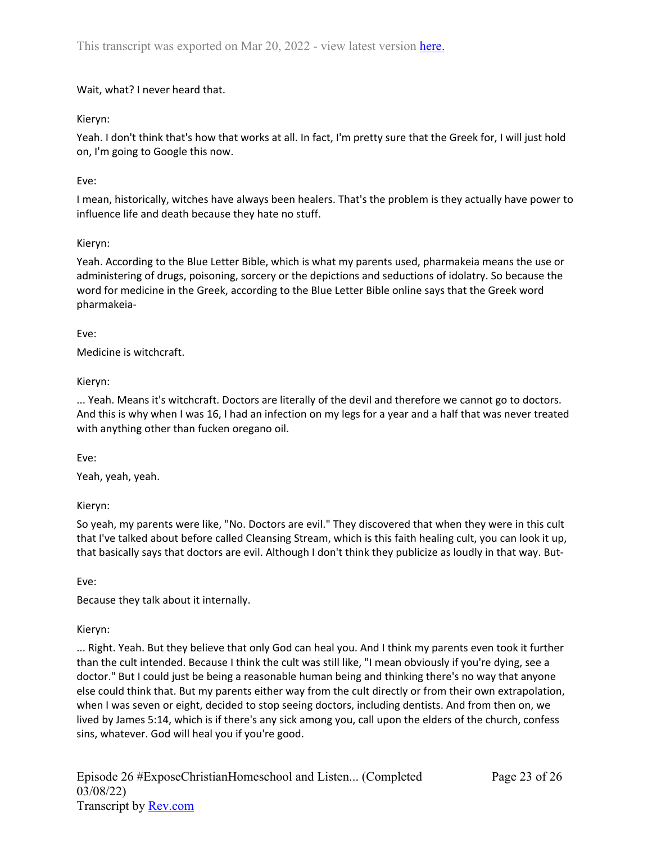Wait, what? I never heard that.

# Kieryn:

Yeah. I don't think that's how that works at all. In fact, I'm pretty sure that the Greek for, I will just hold on, I'm going to Google this now.

# Eve:

I mean, historically, witches have always been healers. That's the problem is they actually have power to influence life and death because they hate no stuff.

# Kieryn:

Yeah. According to the Blue Letter Bible, which is what my parents used, pharmakeia means the use or administering of drugs, poisoning, sorcery or the depictions and seductions of idolatry. So because the word for medicine in the Greek, according to the Blue Letter Bible online says that the Greek word pharmakeia-

# Eve:

Medicine is witchcraft.

# Kieryn:

... Yeah. Means it's witchcraft. Doctors are literally of the devil and therefore we cannot go to doctors. And this is why when I was 16, I had an infection on my legs for a year and a half that was never treated with anything other than fucken oregano oil.

Eve:

Yeah, yeah, yeah.

Kieryn:

So yeah, my parents were like, "No. Doctors are evil." They discovered that when they were in this cult that I've talked about before called Cleansing Stream, which is this faith healing cult, you can look it up, that basically says that doctors are evil. Although I don't think they publicize as loudly in that way. But-

Eve:

Because they talk about it internally.

# Kieryn:

... Right. Yeah. But they believe that only God can heal you. And I think my parents even took it further than the cult intended. Because I think the cult was still like, "I mean obviously if you're dying, see a doctor." But I could just be being a reasonable human being and thinking there's no way that anyone else could think that. But my parents either way from the cult directly or from their own extrapolation, when I was seven or eight, decided to stop seeing doctors, including dentists. And from then on, we lived by James 5:14, which is if there's any sick among you, call upon the elders of the church, confess sins, whatever. God will heal you if you're good.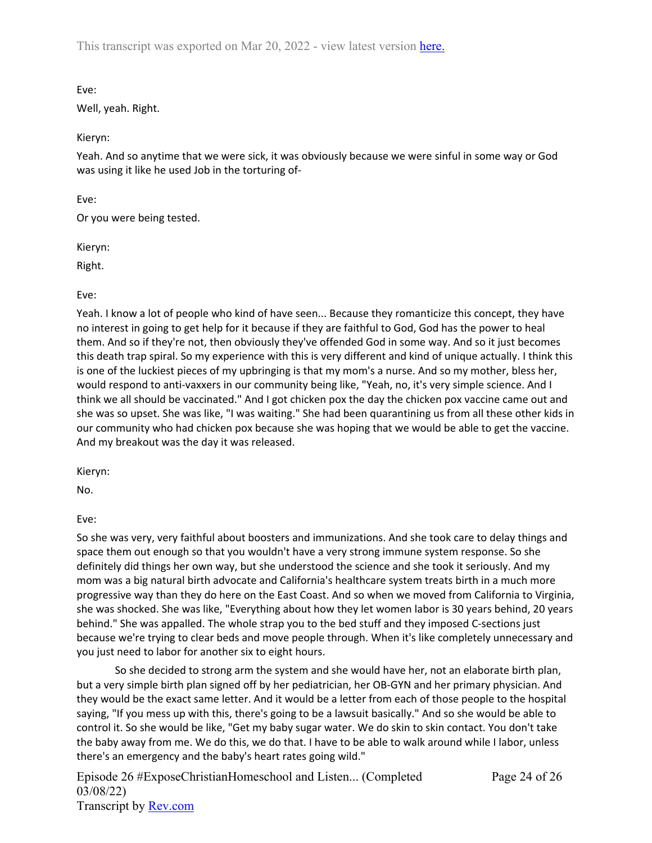This transcript was exported on Mar 20, 2022 - view latest version [here.](https://www.rev.com/transcript-editor/Edit?token=7N2sNEb0tsxpz14mH0gLbPazp5sX9RELRsgYEIvEiaufRSDOnAPhonpt_4sdpWfBPf1R184oA5hOF0ZbaOzzaRLfcgg&loadFrom=DocumentHeaderDeepLink)

Eve:

Well, yeah. Right.

Kieryn:

Yeah. And so anytime that we were sick, it was obviously because we were sinful in some way or God was using it like he used Job in the torturing of-

Eve:

Or you were being tested.

Kieryn:

Right.

Eve:

Yeah. I know a lot of people who kind of have seen... Because they romanticize this concept, they have no interest in going to get help for it because if they are faithful to God, God has the power to heal them. And so if they're not, then obviously they've offended God in some way. And so it just becomes this death trap spiral. So my experience with this is very different and kind of unique actually. I think this is one of the luckiest pieces of my upbringing is that my mom's a nurse. And so my mother, bless her, would respond to anti-vaxxers in our community being like, "Yeah, no, it's very simple science. And I think we all should be vaccinated." And I got chicken pox the day the chicken pox vaccine came out and she was so upset. She was like, "I was waiting." She had been quarantining us from all these other kids in our community who had chicken pox because she was hoping that we would be able to get the vaccine. And my breakout was the day it was released.

Kieryn:

No.

Eve:

So she was very, very faithful about boosters and immunizations. And she took care to delay things and space them out enough so that you wouldn't have a very strong immune system response. So she definitely did things her own way, but she understood the science and she took it seriously. And my mom was a big natural birth advocate and California's healthcare system treats birth in a much more progressive way than they do here on the East Coast. And so when we moved from California to Virginia, she was shocked. She was like, "Everything about how they let women labor is 30 years behind, 20 years behind." She was appalled. The whole strap you to the bed stuff and they imposed C-sections just because we're trying to clear beds and move people through. When it's like completely unnecessary and you just need to labor for another six to eight hours.

So she decided to strong arm the system and she would have her, not an elaborate birth plan, but a very simple birth plan signed off by her pediatrician, her OB-GYN and her primary physician. And they would be the exact same letter. And it would be a letter from each of those people to the hospital saying, "If you mess up with this, there's going to be a lawsuit basically." And so she would be able to control it. So she would be like, "Get my baby sugar water. We do skin to skin contact. You don't take the baby away from me. We do this, we do that. I have to be able to walk around while I labor, unless there's an emergency and the baby's heart rates going wild."

Episode 26 #ExposeChristianHomeschool and Listen... (Completed 03/08/22) Transcript by [Rev.com](https://www.rev.com/)

Page 24 of 26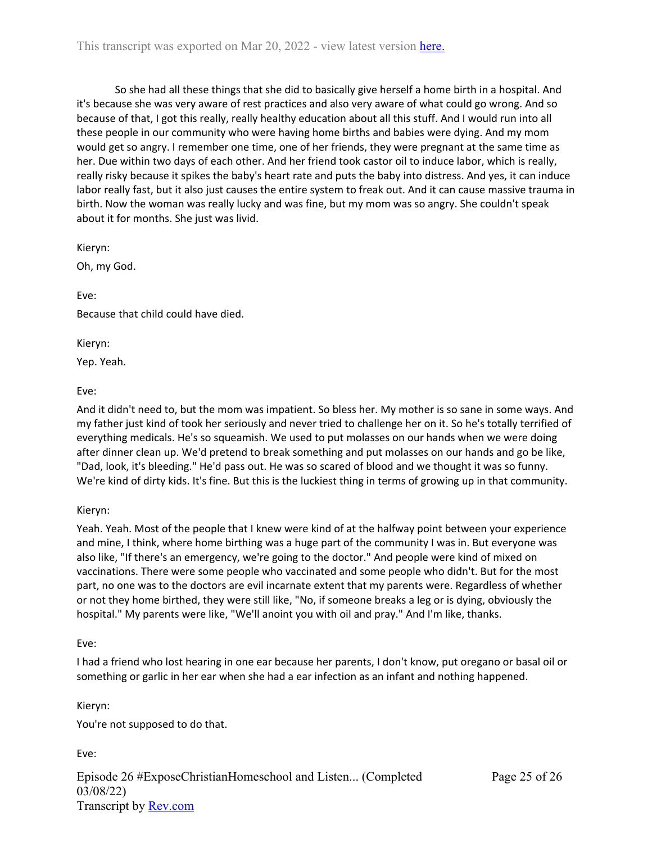So she had all these things that she did to basically give herself a home birth in a hospital. And it's because she was very aware of rest practices and also very aware of what could go wrong. And so because of that, I got this really, really healthy education about all this stuff. And I would run into all these people in our community who were having home births and babies were dying. And my mom would get so angry. I remember one time, one of her friends, they were pregnant at the same time as her. Due within two days of each other. And her friend took castor oil to induce labor, which is really, really risky because it spikes the baby's heart rate and puts the baby into distress. And yes, it can induce labor really fast, but it also just causes the entire system to freak out. And it can cause massive trauma in birth. Now the woman was really lucky and was fine, but my mom was so angry. She couldn't speak about it for months. She just was livid.

Kieryn:

Oh, my God.

Eve:

Because that child could have died.

Kieryn:

Yep. Yeah.

Eve:

And it didn't need to, but the mom was impatient. So bless her. My mother is so sane in some ways. And my father just kind of took her seriously and never tried to challenge her on it. So he's totally terrified of everything medicals. He's so squeamish. We used to put molasses on our hands when we were doing after dinner clean up. We'd pretend to break something and put molasses on our hands and go be like, "Dad, look, it's bleeding." He'd pass out. He was so scared of blood and we thought it was so funny. We're kind of dirty kids. It's fine. But this is the luckiest thing in terms of growing up in that community.

## Kieryn:

Yeah. Yeah. Most of the people that I knew were kind of at the halfway point between your experience and mine, I think, where home birthing was a huge part of the community I was in. But everyone was also like, "If there's an emergency, we're going to the doctor." And people were kind of mixed on vaccinations. There were some people who vaccinated and some people who didn't. But for the most part, no one was to the doctors are evil incarnate extent that my parents were. Regardless of whether or not they home birthed, they were still like, "No, if someone breaks a leg or is dying, obviously the hospital." My parents were like, "We'll anoint you with oil and pray." And I'm like, thanks.

## Eve:

I had a friend who lost hearing in one ear because her parents, I don't know, put oregano or basal oil or something or garlic in her ear when she had a ear infection as an infant and nothing happened.

Kieryn:

You're not supposed to do that.

Eve:

Episode 26 #ExposeChristianHomeschool and Listen... (Completed 03/08/22) Transcript by [Rev.com](https://www.rev.com/)